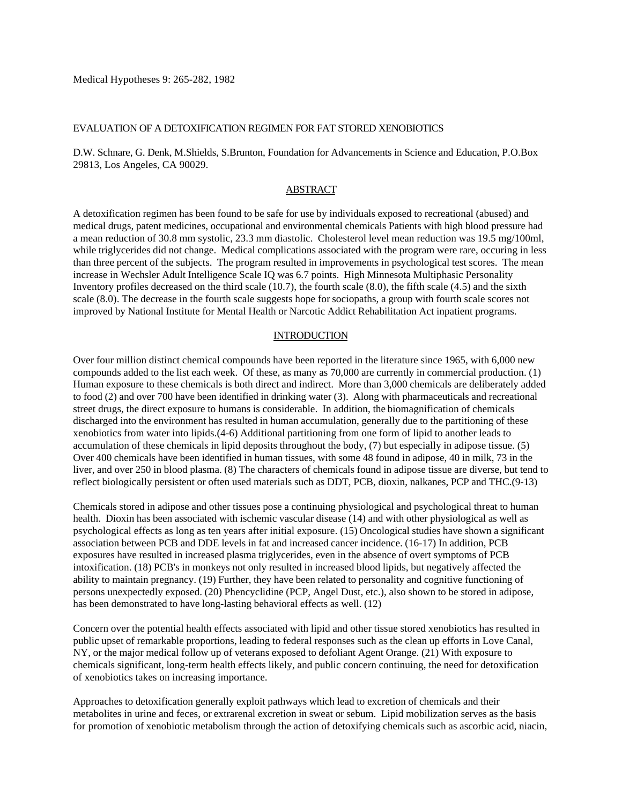Medical Hypotheses 9: 265-282, 1982

#### EVALUATION OF A DETOXIFICATION REGIMEN FOR FAT STORED XENOBIOTICS

#### D.W. Schnare, G. Denk, M.Shields, S.Brunton, Foundation for Advancements in Science and Education, P.O.Box 29813, Los Angeles, CA 90029.

## **ABSTRACT**

A detoxification regimen has been found to be safe for use by individuals exposed to recreational (abused) and medical drugs, patent medicines, occupational and environmental chemicals Patients with high blood pressure had a mean reduction of 30.8 mm systolic, 23.3 mm diastolic. Cholesterol level mean reduction was 19.5 mg/100ml, while triglycerides did not change. Medical complications associated with the program were rare, occuring in less than three percent of the subjects. The program resulted in improvements in psychological test scores. The mean increase in Wechsler Adult Intelligence Scale IQ was 6.7 points. High Minnesota Multiphasic Personality Inventory profiles decreased on the third scale (10.7), the fourth scale (8.0), the fifth scale (4.5) and the sixth scale (8.0). The decrease in the fourth scale suggests hope for sociopaths, a group with fourth scale scores not improved by National Institute for Mental Health or Narcotic Addict Rehabilitation Act inpatient programs.

#### **INTRODUCTION**

Over four million distinct chemical compounds have been reported in the literature since 1965, with 6,000 new compounds added to the list each week. Of these, as many as 70,000 are currently in commercial production. (1) Human exposure to these chemicals is both direct and indirect. More than 3,000 chemicals are deliberately added to food (2) and over 700 have been identified in drinking water (3). Along with pharmaceuticals and recreational street drugs, the direct exposure to humans is considerable. In addition, the biomagnification of chemicals discharged into the environment has resulted in human accumulation, generally due to the partitioning of these xenobiotics from water into lipids.(4-6) Additional partitioning from one form of lipid to another leads to accumulation of these chemicals in lipid deposits throughout the body, (7) but especially in adipose tissue. (5) Over 400 chemicals have been identified in human tissues, with some 48 found in adipose, 40 in milk, 73 in the liver, and over 250 in blood plasma. (8) The characters of chemicals found in adipose tissue are diverse, but tend to reflect biologically persistent or often used materials such as DDT, PCB, dioxin, nalkanes, PCP and THC.(9-13)

Chemicals stored in adipose and other tissues pose a continuing physiological and psychological threat to human health. Dioxin has been associated with ischemic vascular disease (14) and with other physiological as well as psychological effects as long as ten years after initial exposure. (15) Oncological studies have shown a significant association between PCB and DDE levels in fat and increased cancer incidence. (16-17) In addition, PCB exposures have resulted in increased plasma triglycerides, even in the absence of overt symptoms of PCB intoxification. (18) PCB's in monkeys not only resulted in increased blood lipids, but negatively affected the ability to maintain pregnancy. (19) Further, they have been related to personality and cognitive functioning of persons unexpectedly exposed. (20) Phencyclidine (PCP, Angel Dust, etc.), also shown to be stored in adipose, has been demonstrated to have long-lasting behavioral effects as well. (12)

Concern over the potential health effects associated with lipid and other tissue stored xenobiotics has resulted in public upset of remarkable proportions, leading to federal responses such as the clean up efforts in Love Canal, NY, or the major medical follow up of veterans exposed to defoliant Agent Orange. (21) With exposure to chemicals significant, long-term health effects likely, and public concern continuing, the need for detoxification of xenobiotics takes on increasing importance.

Approaches to detoxification generally exploit pathways which lead to excretion of chemicals and their metabolites in urine and feces, or extrarenal excretion in sweat or sebum. Lipid mobilization serves as the basis for promotion of xenobiotic metabolism through the action of detoxifying chemicals such as ascorbic acid, niacin,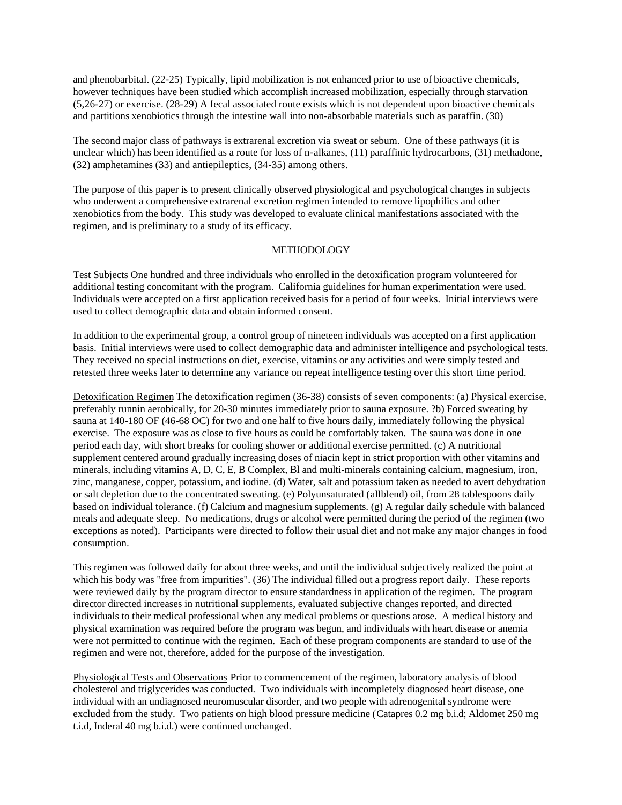and phenobarbital. (22-25) Typically, lipid mobilization is not enhanced prior to use of bioactive chemicals, however techniques have been studied which accomplish increased mobilization, especially through starvation (5,26-27) or exercise. (28-29) A fecal associated route exists which is not dependent upon bioactive chemicals and partitions xenobiotics through the intestine wall into non-absorbable materials such as paraffin. (30)

The second major class of pathways is extrarenal excretion via sweat or sebum. One of these pathways (it is unclear which) has been identified as a route for loss of n-alkanes, (11) paraffinic hydrocarbons, (31) methadone, (32) amphetamines (33) and antiepileptics, (34-35) among others.

The purpose of this paper is to present clinically observed physiological and psychological changes in subjects who underwent a comprehensive extrarenal excretion regimen intended to remove lipophilics and other xenobiotics from the body. This study was developed to evaluate clinical manifestations associated with the regimen, and is preliminary to a study of its efficacy.

### METHODOLOGY

Test Subjects One hundred and three individuals who enrolled in the detoxification program volunteered for additional testing concomitant with the program. California guidelines for human experimentation were used. Individuals were accepted on a first application received basis for a period of four weeks. Initial interviews were used to collect demographic data and obtain informed consent.

In addition to the experimental group, a control group of nineteen individuals was accepted on a first application basis. Initial interviews were used to collect demographic data and administer intelligence and psychological tests. They received no special instructions on diet, exercise, vitamins or any activities and were simply tested and retested three weeks later to determine any variance on repeat intelligence testing over this short time period.

Detoxification Regimen The detoxification regimen (36-38) consists of seven components: (a) Physical exercise, preferably runnin aerobically, for 20-30 minutes immediately prior to sauna exposure. ?b) Forced sweating by sauna at 140-180 OF (46-68 OC) for two and one half to five hours daily, immediately following the physical exercise. The exposure was as close to five hours as could be comfortably taken. The sauna was done in one period each day, with short breaks for cooling shower or additional exercise permitted. (c) A nutritional supplement centered around gradually increasing doses of niacin kept in strict proportion with other vitamins and minerals, including vitamins A, D, C, E, B Complex, Bl and multi-minerals containing calcium, magnesium, iron, zinc, manganese, copper, potassium, and iodine. (d) Water, salt and potassium taken as needed to avert dehydration or salt depletion due to the concentrated sweating. (e) Polyunsaturated (allblend) oil, from 28 tablespoons daily based on individual tolerance. (f) Calcium and magnesium supplements. (g) A regular daily schedule with balanced meals and adequate sleep. No medications, drugs or alcohol were permitted during the period of the regimen (two exceptions as noted). Participants were directed to follow their usual diet and not make any major changes in food consumption.

This regimen was followed daily for about three weeks, and until the individual subjectively realized the point at which his body was "free from impurities". (36) The individual filled out a progress report daily. These reports were reviewed daily by the program director to ensure standardness in application of the regimen. The program director directed increases in nutritional supplements, evaluated subjective changes reported, and directed individuals to their medical professional when any medical problems or questions arose. A medical history and physical examination was required before the program was begun, and individuals with heart disease or anemia were not permitted to continue with the regimen. Each of these program components are standard to use of the regimen and were not, therefore, added for the purpose of the investigation.

Physiological Tests and Observations Prior to commencement of the regimen, laboratory analysis of blood cholesterol and triglycerides was conducted. Two individuals with incompletely diagnosed heart disease, one individual with an undiagnosed neuromuscular disorder, and two people with adrenogenital syndrome were excluded from the study. Two patients on high blood pressure medicine (Catapres 0.2 mg b.i.d; Aldomet 250 mg t.i.d, Inderal 40 mg b.i.d.) were continued unchanged.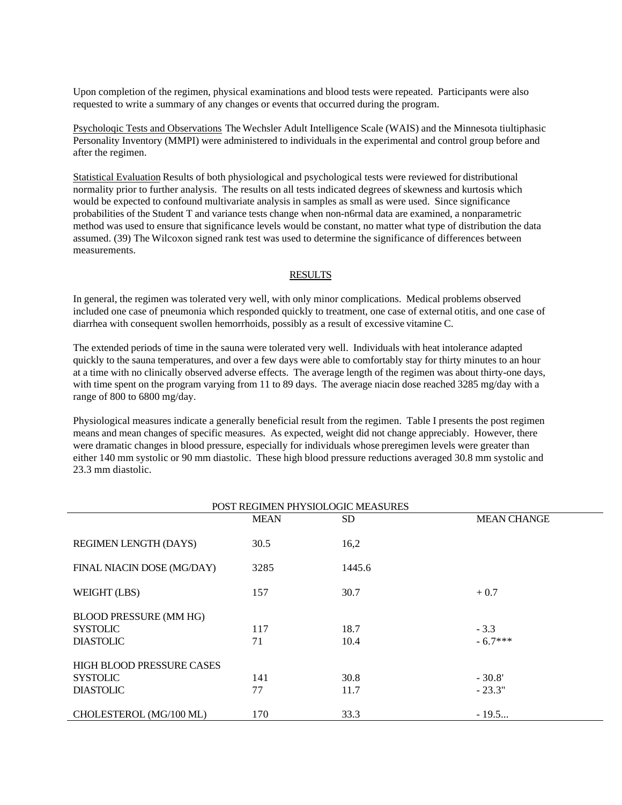Upon completion of the regimen, physical examinations and blood tests were repeated. Participants were also requested to write a summary of any changes or events that occurred during the program.

Psycholoqic Tests and Observations The Wechsler Adult Intelligence Scale (WAIS) and the Minnesota tiultiphasic Personality Inventory (MMPI) were administered to individuals in the experimental and control group before and after the regimen.

Statistical Evaluation Results of both physiological and psychological tests were reviewed for distributional normality prior to further analysis. The results on all tests indicated degrees of skewness and kurtosis which would be expected to confound multivariate analysis in samples as small as were used. Since significance probabilities of the Student T and variance tests change when non-n6rmal data are examined, a nonparametric method was used to ensure that significance levels would be constant, no matter what type of distribution the data assumed. (39) The Wilcoxon signed rank test was used to determine the significance of differences between measurements.

#### RESULTS

In general, the regimen was tolerated very well, with only minor complications. Medical problems observed included one case of pneumonia which responded quickly to treatment, one case of external otitis, and one case of diarrhea with consequent swollen hemorrhoids, possibly as a result of excessive vitamine C.

The extended periods of time in the sauna were tolerated very well. Individuals with heat intolerance adapted quickly to the sauna temperatures, and over a few days were able to comfortably stay for thirty minutes to an hour at a time with no clinically observed adverse effects. The average length of the regimen was about thirty-one days, with time spent on the program varying from 11 to 89 days. The average niacin dose reached 3285 mg/day with a range of 800 to 6800 mg/day.

Physiological measures indicate a generally beneficial result from the regimen. Table I presents the post regimen means and mean changes of specific measures. As expected, weight did not change appreciably. However, there were dramatic changes in blood pressure, especially for individuals whose preregimen levels were greater than either 140 mm systolic or 90 mm diastolic. These high blood pressure reductions averaged 30.8 mm systolic and 23.3 mm diastolic.

| POST REGIMEN PHYSIOLOGIC MEASURES |             |        |                    |  |  |
|-----------------------------------|-------------|--------|--------------------|--|--|
|                                   | <b>MEAN</b> | SD.    | <b>MEAN CHANGE</b> |  |  |
|                                   |             |        |                    |  |  |
| REGIMEN LENGTH (DAYS)             | 30.5        | 16,2   |                    |  |  |
|                                   |             |        |                    |  |  |
| FINAL NIACIN DOSE (MG/DAY)        | 3285        | 1445.6 |                    |  |  |
|                                   |             |        |                    |  |  |
| WEIGHT (LBS)                      | 157         | 30.7   | $+0.7$             |  |  |
| <b>BLOOD PRESSURE (MM HG)</b>     |             |        |                    |  |  |
|                                   |             |        |                    |  |  |
| <b>SYSTOLIC</b>                   | 117         | 18.7   | $-3.3$             |  |  |
| <b>DIASTOLIC</b>                  | 71          | 10.4   | $-6.7***$          |  |  |
|                                   |             |        |                    |  |  |
| HIGH BLOOD PRESSURE CASES         |             |        |                    |  |  |
| <b>SYSTOLIC</b>                   | 141         | 30.8   | $-30.8'$           |  |  |
| <b>DIASTOLIC</b>                  | 77          | 11.7   | $-23.3"$           |  |  |
|                                   |             |        |                    |  |  |
| CHOLESTEROL (MG/100 ML)           | 170         | 33.3   | $-19.5$            |  |  |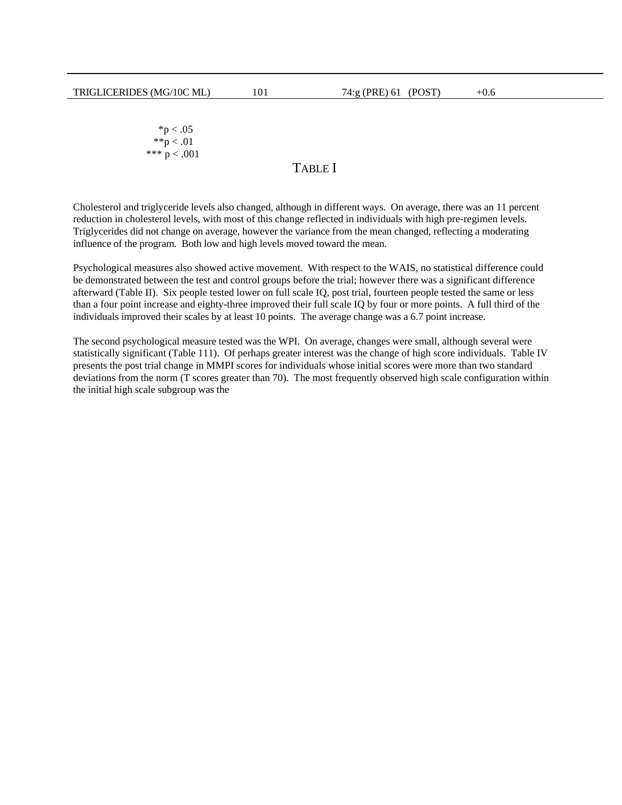$*p < .05$  $*^{*}p < .01$ \*\*\*  $p < .001$ 

# TABLE I

Cholesterol and triglyceride levels also changed, although in different ways. On average, there was an 11 percent reduction in cholesterol levels, with most of this change reflected in individuals with high pre-regimen levels. Triglycerides did not change on average, however the variance from the mean changed, reflecting a moderating influence of the program. Both low and high levels moved toward the mean.

Psychological measures also showed active movement. With respect to the WAIS, no statistical difference could be demonstrated between the test and control groups before the trial; however there was a significant difference afterward (Table II). Six people tested lower on full scale IQ, post trial, fourteen people tested the same or less than a four point increase and eighty-three improved their full scale IQ by four or more points. A full third of the individuals improved their scales by at least 10 points. The average change was a 6.7 point increase.

The second psychological measure tested was the WPI. On average, changes were small, although several were statistically significant (Table 111). Of perhaps greater interest was the change of high score individuals. Table IV presents the post trial change in MMPI scores for individuals whose initial scores were more than two standard deviations from the norm (T scores greater than 70). The most frequently observed high scale configuration within the initial high scale subgroup was the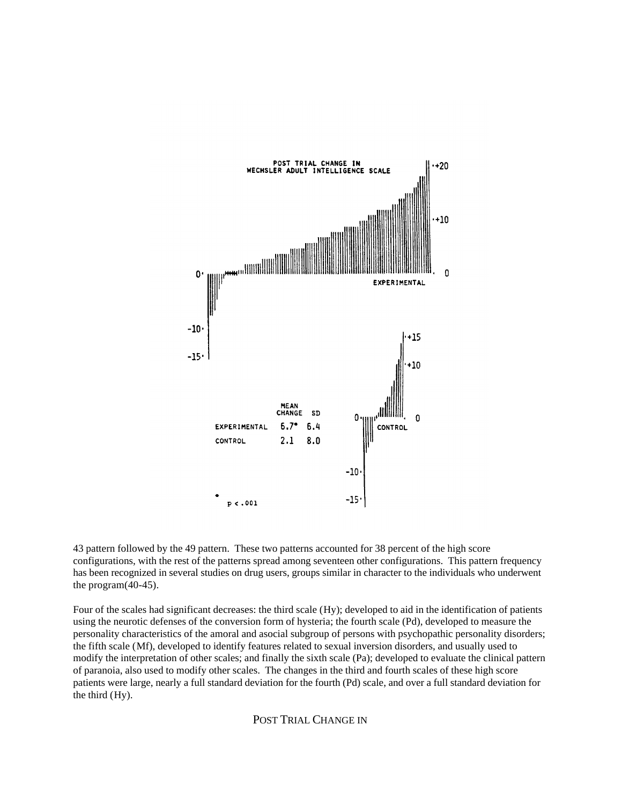

43 pattern followed by the 49 pattern. These two patterns accounted for 38 percent of the high score configurations, with the rest of the patterns spread among seventeen other configurations. This pattern frequency has been recognized in several studies on drug users, groups similar in character to the individuals who underwent the program(40-45).

Four of the scales had significant decreases: the third scale (Hy); developed to aid in the identification of patients using the neurotic defenses of the conversion form of hysteria; the fourth scale (Pd), developed to measure the personality characteristics of the amoral and asocial subgroup of persons with psychopathic personality disorders; the fifth scale (Mf), developed to identify features related to sexual inversion disorders, and usually used to modify the interpretation of other scales; and finally the sixth scale (Pa); developed to evaluate the clinical pattern of paranoia, also used to modify other scales. The changes in the third and fourth scales of these high score patients were large, nearly a full standard deviation for the fourth (Pd) scale, and over a full standard deviation for the third (Hy).

POST TRIAL CHANGE IN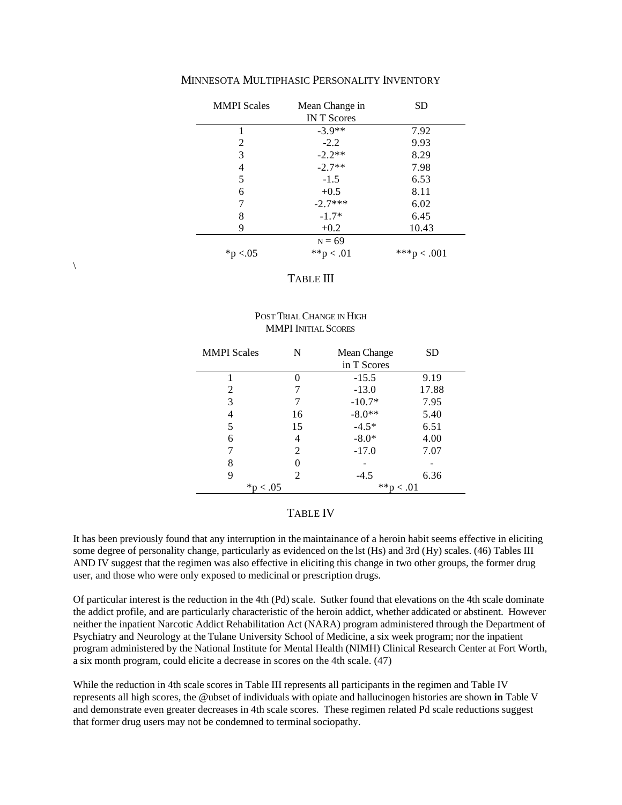| <b>MMPI</b> Scales | Mean Change in<br><b>INT</b> Scores | SD       |
|--------------------|-------------------------------------|----------|
| 1                  | $-3.9**$                            | 7.92     |
| $\mathfrak{D}$     | $-2.2$                              | 9.93     |
| 3                  | $-2.2**$                            | 8.29     |
| 4                  | $-2.7**$                            | 7.98     |
| 5                  | $-1.5$                              | 6.53     |
| 6                  | $+0.5$                              | 8.11     |
| 7                  | $-2.7***$                           | 6.02     |
| 8                  | $-1.7*$                             | 6.45     |
| 9                  | $+0.2$                              | 10.43    |
|                    | $N = 69$                            |          |
| *p $< 0.05$        | **p < .01                           | $**$ *p< |

# MINNESOTA MULTIPHASIC PERSONALITY INVENTORY

# TABLE III

\

## POST TRIAL CHANGE IN HIGH **MMPI INITIAL SCORES**

| <b>MMPI</b> Scales | N  | Mean Change | SD    |
|--------------------|----|-------------|-------|
|                    |    | in T Scores |       |
|                    |    | $-15.5$     | 9.19  |
| 2                  | 7  | $-13.0$     | 17.88 |
| 3                  | 7  | $-10.7*$    | 7.95  |
| 4                  | 16 | $-8.0**$    | 5.40  |
| 5                  | 15 | $-4.5*$     | 6.51  |
| 6                  | 4  | $-8.0*$     | 4.00  |
| 7                  | 2  | $-17.0$     | 7.07  |
| 8                  |    |             |       |
| 9                  | 2  | $-4.5$      | 6.36  |
| $*{\rm p} < .05$   |    | **p < .01   |       |

#### TABLE IV

It has been previously found that any interruption in the maintainance of a heroin habit seems effective in eliciting some degree of personality change, particularly as evidenced on the lst (Hs) and 3rd (Hy) scales. (46) Tables III AND IV suggest that the regimen was also effective in eliciting this change in two other groups, the former drug user, and those who were only exposed to medicinal or prescription drugs.

Of particular interest is the reduction in the 4th (Pd) scale. Sutker found that elevations on the 4th scale dominate the addict profile, and are particularly characteristic of the heroin addict, whether addicated or abstinent. However neither the inpatient Narcotic Addict Rehabilitation Act (NARA) program administered through the Department of Psychiatry and Neurology at the Tulane University School of Medicine, a six week program; nor the inpatient program administered by the National Institute for Mental Health (NIMH) Clinical Research Center at Fort Worth, a six month program, could elicite a decrease in scores on the 4th scale. (47)

While the reduction in 4th scale scores in Table III represents all participants in the regimen and Table IV represents all high scores, the @ubset of individuals with opiate and hallucinogen histories are shown **in** Table V and demonstrate even greater decreases in 4th scale scores. These regimen related Pd scale reductions suggest that former drug users may not be condemned to terminal sociopathy.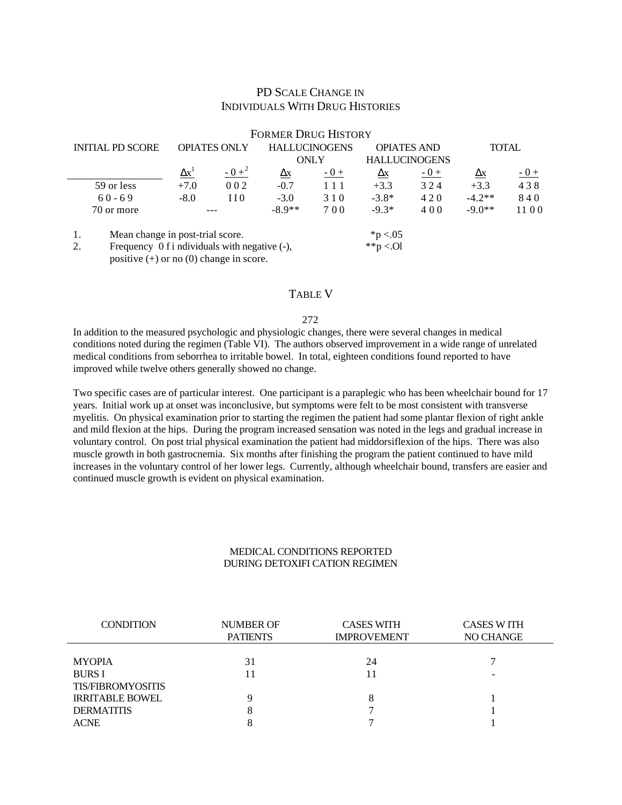# PD SCALE CHANGE IN INDIVIDUALS WITH DRUG HISTORIES

|                                                                                                                     |                                  |                     |         | <b>FORMER DRUG HISTORY</b>         |       |                    |                      |              |       |
|---------------------------------------------------------------------------------------------------------------------|----------------------------------|---------------------|---------|------------------------------------|-------|--------------------|----------------------|--------------|-------|
| <b>INITIAL PD SCORE</b>                                                                                             |                                  | <b>OPIATES ONLY</b> |         | <b>HALLUCINOGENS</b>               |       | <b>OPIATES AND</b> |                      | <b>TOTAL</b> |       |
|                                                                                                                     |                                  |                     |         |                                    | ONLY  |                    | <b>HALLUCINOGENS</b> |              |       |
|                                                                                                                     |                                  | $\Delta x^1$        | $-0+^2$ | $\mathbf{\underline{A}}\mathbf{X}$ | $-0+$ | $\Delta x$         | $-0+$                | $\Delta x$   | $-0+$ |
|                                                                                                                     | 59 or less                       | $+7.0$              | 002     | $-0.7$                             | 111   | $+3.3$             | 324                  | $+3.3$       | 438   |
|                                                                                                                     | $60 - 69$                        | $-8.0$              | 110     | $-3.0$                             | 310   | $-3.8*$            | 420                  | $-4.2**$     | 840   |
|                                                                                                                     | 70 or more                       |                     |         | $-8.9**$                           | 700   | $-9.3*$            | 400                  | $-9.0**$     | 1100  |
| 1.                                                                                                                  | Mean change in post-trial score. |                     |         |                                    |       | $*p < 0.05$        |                      |              |       |
| **p <.0l<br>2.<br>Frequency $0$ f i ndividuals with negative $(-)$ ,<br>positive $(+)$ or no $(0)$ change in score. |                                  |                     |         |                                    |       |                    |                      |              |       |

TABLE V

#### 272

In addition to the measured psychologic and physiologic changes, there were several changes in medical conditions noted during the regimen (Table VI). The authors observed improvement in a wide range of unrelated medical conditions from seborrhea to irritable bowel. In total, eighteen conditions found reported to have improved while twelve others generally showed no change.

Two specific cases are of particular interest. One participant is a paraplegic who has been wheelchair bound for 17 years. Initial work up at onset was inconclusive, but symptoms were felt to be most consistent with transverse myelitis. On physical examination prior to starting the regimen the patient had some plantar flexion of right ankle and mild flexion at the hips. During the program increased sensation was noted in the legs and gradual increase in voluntary control. On post trial physical examination the patient had middorsiflexion of the hips. There was also muscle growth in both gastrocnemia. Six months after finishing the program the patient continued to have mild increases in the voluntary control of her lower legs. Currently, although wheelchair bound, transfers are easier and continued muscle growth is evident on physical examination.

## MEDICAL CONDITIONS REPORTED DURING DETOXIFI CATION REGIMEN

| <b>CONDITION</b>         | <b>NUMBER OF</b><br><b>PATIENTS</b> | <b>CASES WITH</b><br><b>IMPROVEMENT</b> | <b>CASES WITH</b><br>NO CHANGE |
|--------------------------|-------------------------------------|-----------------------------------------|--------------------------------|
|                          |                                     |                                         |                                |
| <b>MYOPIA</b>            | 31                                  | 24                                      |                                |
| <b>BURS I</b>            | l 1                                 |                                         |                                |
| <b>TIS/FIBROMYOSITIS</b> |                                     |                                         |                                |
| <b>IRRITABLE BOWEL</b>   |                                     | 8                                       |                                |
| <b>DERMATITIS</b>        |                                     |                                         |                                |
| <b>ACNE</b>              |                                     |                                         |                                |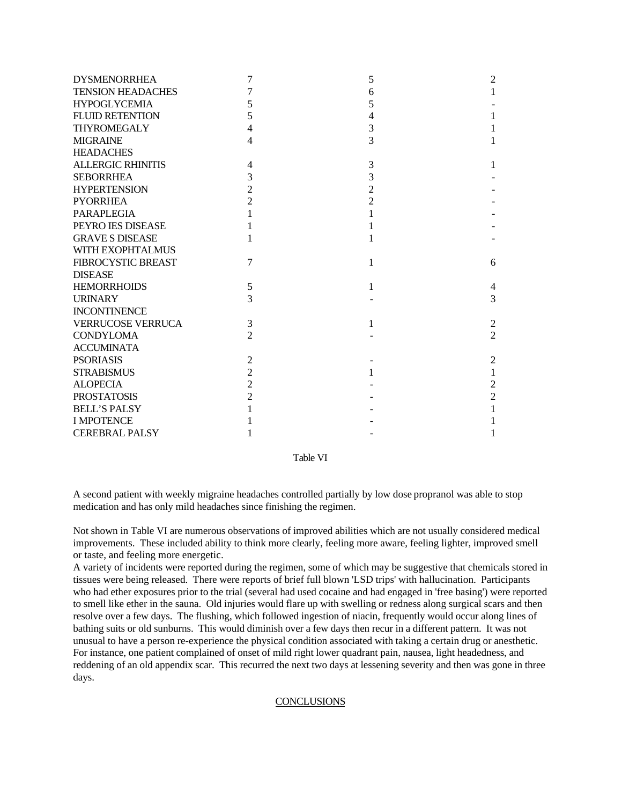| <b>DYSMENORRHEA</b>      | 7              | 5              | $\overline{c}$ |
|--------------------------|----------------|----------------|----------------|
| <b>TENSION HEADACHES</b> | $\overline{7}$ | 6              | 1              |
| <b>HYPOGLYCEMIA</b>      | 5              | 5              |                |
| <b>FLUID RETENTION</b>   | 5              | 4              | 1              |
| <b>THYROMEGALY</b>       | $\overline{4}$ | 3              | 1              |
| <b>MIGRAINE</b>          | 4              | 3              | 1              |
| <b>HEADACHES</b>         |                |                |                |
| <b>ALLERGIC RHINITIS</b> | $\overline{4}$ | 3              | 1              |
| <b>SEBORRHEA</b>         | 3              | 3              |                |
| <b>HYPERTENSION</b>      | $\overline{2}$ | $\overline{c}$ |                |
| <b>PYORRHEA</b>          | $\overline{2}$ | $\overline{2}$ |                |
| <b>PARAPLEGIA</b>        |                |                |                |
| PEYRO JES DISEASE        |                |                |                |
| <b>GRAVE S DISEASE</b>   |                |                |                |
| WITH EXOPHTALMUS         |                |                |                |
| FIBROCYSTIC BREAST       | 7              | 1              | 6              |
| <b>DISEASE</b>           |                |                |                |
| <b>HEMORRHOIDS</b>       | 5              | 1              | 4              |
| <b>URINARY</b>           | 3              |                | 3              |
| <b>INCONTINENCE</b>      |                |                |                |
| <b>VERRUCOSE VERRUCA</b> | 3              | 1              | $\overline{2}$ |
| <b>CONDYLOMA</b>         | $\overline{2}$ |                | $\overline{2}$ |
| <b>ACCUMINATA</b>        |                |                |                |
| <b>PSORIASIS</b>         | $\mathfrak{2}$ |                | $\overline{2}$ |
| <b>STRABISMUS</b>        | $\overline{2}$ |                | 1              |
| <b>ALOPECIA</b>          | $\overline{c}$ |                | $\overline{c}$ |
| <b>PROSTATOSIS</b>       | $\overline{2}$ |                | $\overline{2}$ |
| <b>BELL'S PALSY</b>      |                |                |                |
| <b>I MPOTENCE</b>        |                |                |                |
| <b>CEREBRAL PALSY</b>    |                |                | 1              |

## Table VI

A second patient with weekly migraine headaches controlled partially by low dose propranol was able to stop medication and has only mild headaches since finishing the regimen.

Not shown in Table VI are numerous observations of improved abilities which are not usually considered medical improvements. These included ability to think more clearly, feeling more aware, feeling lighter, improved smell or taste, and feeling more energetic.

A variety of incidents were reported during the regimen, some of which may be suggestive that chemicals stored in tissues were being released. There were reports of brief full blown 'LSD trips' with hallucination. Participants who had ether exposures prior to the trial (several had used cocaine and had engaged in 'free basing') were reported to smell like ether in the sauna. Old injuries would flare up with swelling or redness along surgical scars and then resolve over a few days. The flushing, which followed ingestion of niacin, frequently would occur along lines of bathing suits or old sunburns. This would diminish over a few days then recur in a different pattern. It was not unusual to have a person re-experience the physical condition associated with taking a certain drug or anesthetic. For instance, one patient complained of onset of mild right lower quadrant pain, nausea, light headedness, and reddening of an old appendix scar. This recurred the next two days at lessening severity and then was gone in three days.

# **CONCLUSIONS**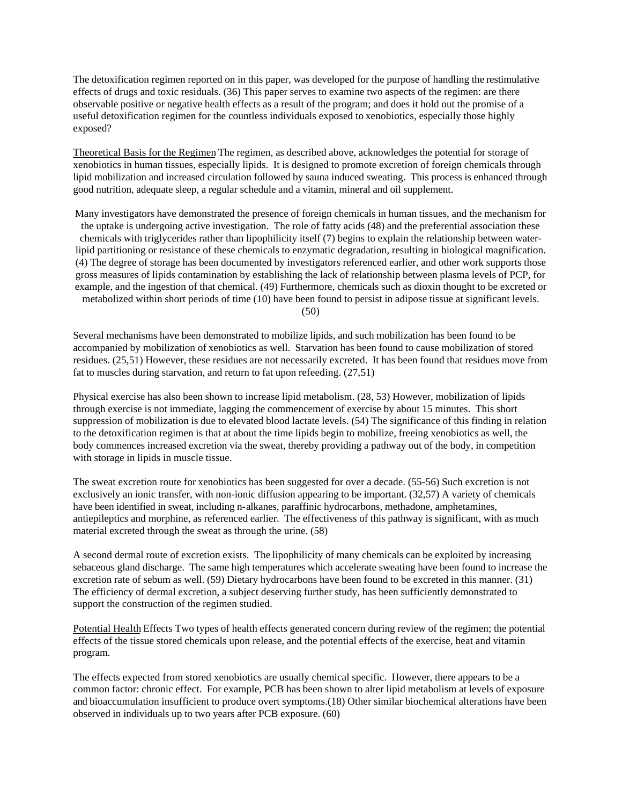The detoxification regimen reported on in this paper, was developed for the purpose of handling the restimulative effects of drugs and toxic residuals. (36) This paper serves to examine two aspects of the regimen: are there observable positive or negative health effects as a result of the program; and does it hold out the promise of a useful detoxification regimen for the countless individuals exposed to xenobiotics, especially those highly exposed?

Theoretical Basis for the Regimen The regimen, as described above, acknowledges the potential for storage of xenobiotics in human tissues, especially lipids. It is designed to promote excretion of foreign chemicals through lipid mobilization and increased circulation followed by sauna induced sweating. This process is enhanced through good nutrition, adequate sleep, a regular schedule and a vitamin, mineral and oil supplement.

Many investigators have demonstrated the presence of foreign chemicals in human tissues, and the mechanism for the uptake is undergoing active investigation. The role of fatty acids (48) and the preferential association these chemicals with triglycerides rather than lipophilicity itself (7) begins to explain the relationship between waterlipid partitioning or resistance of these chemicals to enzymatic degradation, resulting in biological magnification. (4) The degree of storage has been documented by investigators referenced earlier, and other work supports those gross measures of lipids contamination by establishing the lack of relationship between plasma levels of PCP, for example, and the ingestion of that chemical. (49) Furthermore, chemicals such as dioxin thought to be excreted or metabolized within short periods of time (10) have been found to persist in adipose tissue at significant levels.

(50)

Several mechanisms have been demonstrated to mobilize lipids, and such mobilization has been found to be accompanied by mobilization of xenobiotics as well. Starvation has been found to cause mobilization of stored residues. (25,51) However, these residues are not necessarily excreted. It has been found that residues move from fat to muscles during starvation, and return to fat upon refeeding. (27,51)

Physical exercise has also been shown to increase lipid metabolism. (28, 53) However, mobilization of lipids through exercise is not immediate, lagging the commencement of exercise by about 15 minutes. This short suppression of mobilization is due to elevated blood lactate levels. (54) The significance of this finding in relation to the detoxification regimen is that at about the time lipids begin to mobilize, freeing xenobiotics as well, the body commences increased excretion via the sweat, thereby providing a pathway out of the body, in competition with storage in lipids in muscle tissue.

The sweat excretion route for xenobiotics has been suggested for over a decade. (55-56) Such excretion is not exclusively an ionic transfer, with non-ionic diffusion appearing to be important. (32,57) A variety of chemicals have been identified in sweat, including n-alkanes, paraffinic hydrocarbons, methadone, amphetamines, antiepileptics and morphine, as referenced earlier. The effectiveness of this pathway is significant, with as much material excreted through the sweat as through the urine. (58)

A second dermal route of excretion exists. The lipophilicity of many chemicals can be exploited by increasing sebaceous gland discharge. The same high temperatures which accelerate sweating have been found to increase the excretion rate of sebum as well. (59) Dietary hydrocarbons have been found to be excreted in this manner. (31) The efficiency of dermal excretion, a subject deserving further study, has been sufficiently demonstrated to support the construction of the regimen studied.

Potential Health Effects Two types of health effects generated concern during review of the regimen; the potential effects of the tissue stored chemicals upon release, and the potential effects of the exercise, heat and vitamin program.

The effects expected from stored xenobiotics are usually chemical specific. However, there appears to be a common factor: chronic effect. For example, PCB has been shown to alter lipid metabolism at levels of exposure and bioaccumulation insufficient to produce overt symptoms.(18) Other similar biochemical alterations have been observed in individuals up to two years after PCB exposure. (60)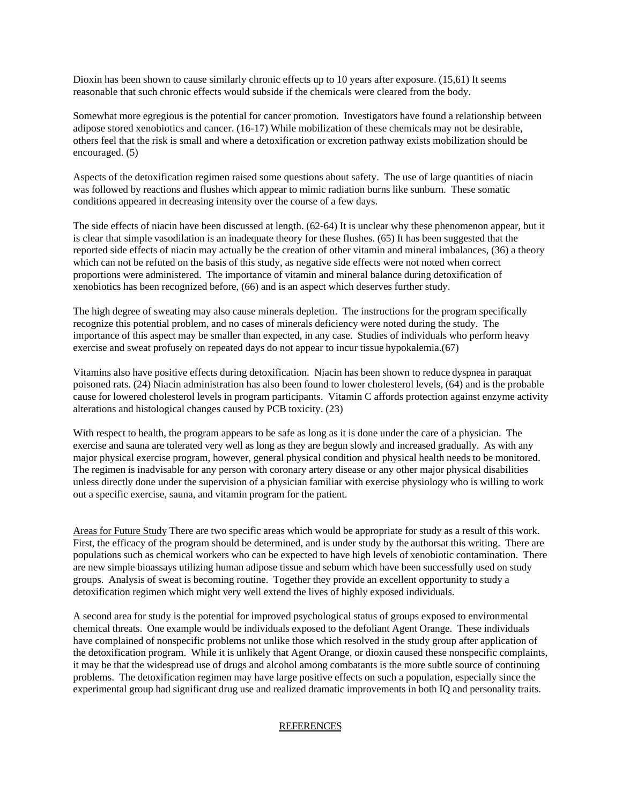Dioxin has been shown to cause similarly chronic effects up to 10 years after exposure. (15,61) It seems reasonable that such chronic effects would subside if the chemicals were cleared from the body.

Somewhat more egregious is the potential for cancer promotion. Investigators have found a relationship between adipose stored xenobiotics and cancer. (16-17) While mobilization of these chemicals may not be desirable, others feel that the risk is small and where a detoxification or excretion pathway exists mobilization should be encouraged. (5)

Aspects of the detoxification regimen raised some questions about safety. The use of large quantities of niacin was followed by reactions and flushes which appear to mimic radiation burns like sunburn. These somatic conditions appeared in decreasing intensity over the course of a few days.

The side effects of niacin have been discussed at length. (62-64) It is unclear why these phenomenon appear, but it is clear that simple vasodilation is an inadequate theory for these flushes. (65) It has been suggested that the reported side effects of niacin may actually be the creation of other vitamin and mineral imbalances, (36) a theory which can not be refuted on the basis of this study, as negative side effects were not noted when correct proportions were administered. The importance of vitamin and mineral balance during detoxification of xenobiotics has been recognized before, (66) and is an aspect which deserves further study.

The high degree of sweating may also cause minerals depletion. The instructions for the program specifically recognize this potential problem, and no cases of minerals deficiency were noted during the study. The importance of this aspect may be smaller than expected, in any case. Studies of individuals who perform heavy exercise and sweat profusely on repeated days do not appear to incur tissue hypokalemia.(67)

Vitamins also have positive effects during detoxification. Niacin has been shown to reduce dyspnea in paraquat poisoned rats. (24) Niacin administration has also been found to lower cholesterol levels, (64) and is the probable cause for lowered cholesterol levels in program participants. Vitamin C affords protection against enzyme activity alterations and histological changes caused by PCB toxicity. (23)

With respect to health, the program appears to be safe as long as it is done under the care of a physician. The exercise and sauna are tolerated very well as long as they are begun slowly and increased gradually. As with any major physical exercise program, however, general physical condition and physical health needs to be monitored. The regimen is inadvisable for any person with coronary artery disease or any other major physical disabilities unless directly done under the supervision of a physician familiar with exercise physiology who is willing to work out a specific exercise, sauna, and vitamin program for the patient.

Areas for Future Study There are two specific areas which would be appropriate for study as a result of this work. First, the efficacy of the program should be determined, and is under study by the authorsat this writing. There are populations such as chemical workers who can be expected to have high levels of xenobiotic contamination. There are new simple bioassays utilizing human adipose tissue and sebum which have been successfully used on study groups. Analysis of sweat is becoming routine. Together they provide an excellent opportunity to study a detoxification regimen which might very well extend the lives of highly exposed individuals.

A second area for study is the potential for improved psychological status of groups exposed to environmental chemical threats. One example would be individuals exposed to the defoliant Agent Orange. These individuals have complained of nonspecific problems not unlike those which resolved in the study group after application of the detoxification program. While it is unlikely that Agent Orange, or dioxin caused these nonspecific complaints, it may be that the widespread use of drugs and alcohol among combatants is the more subtle source of continuing problems. The detoxification regimen may have large positive effects on such a population, especially since the experimental group had significant drug use and realized dramatic improvements in both IQ and personality traits.

## REFERENCES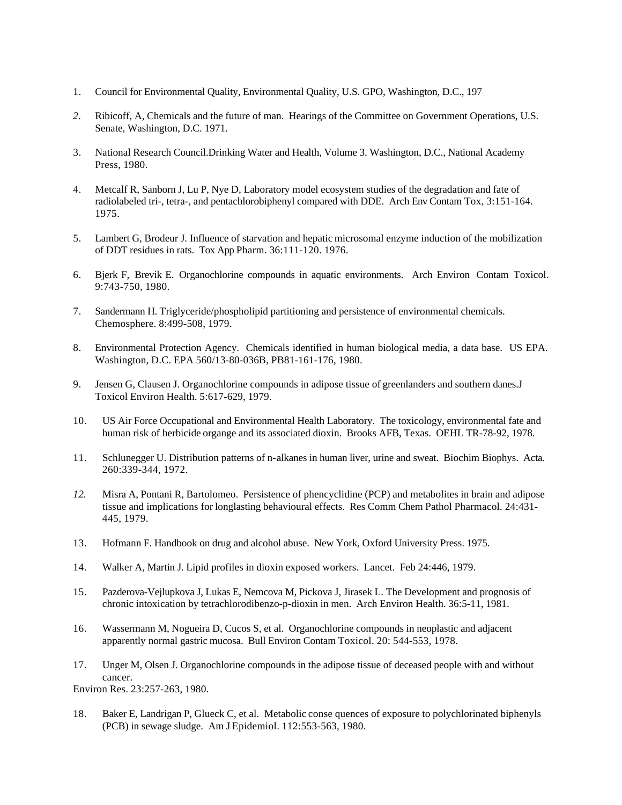- 1. Council for Environmental Quality, Environmental Quality, U.S. GPO, Washington, D.C., 197
- *2.* Ribicoff, A, Chemicals and the future of man. Hearings of the Committee on Government Operations, U.S. Senate, Washington, D.C. 1971.
- 3. National Research Council.Drinking Water and Health, Volume 3. Washington, D.C., National Academy Press, 1980.
- 4. Metcalf R, Sanborn J, Lu P, Nye D, Laboratory model ecosystem studies of the degradation and fate of radiolabeled tri-, tetra-, and pentachlorobiphenyl compared with DDE. Arch Env Contam Tox, 3:151-164. 1975.
- 5. Lambert G, Brodeur J. Influence of starvation and hepatic microsomal enzyme induction of the mobilization of DDT residues in rats. Tox App Pharm. 36:111-120. 1976.
- 6. Bjerk F, Brevik E. Organochlorine compounds in aquatic environments. Arch Environ Contam Toxicol. 9:743-750, 1980.
- 7. Sandermann H. Triglyceride/phospholipid partitioning and persistence of environmental chemicals. Chemosphere. 8:499-508, 1979.
- 8. Environmental Protection Agency. Chemicals identified in human biological media, a data base. US EPA. Washington, D.C. EPA 560/13-80-036B, PB81-161-176, 1980.
- 9. Jensen G, Clausen J. Organochlorine compounds in adipose tissue of greenlanders and southern danes.J Toxicol Environ Health. 5:617-629, 1979.
- 10. US Air Force Occupational and Environmental Health Laboratory. The toxicology, environmental fate and human risk of herbicide organge and its associated dioxin. Brooks AFB, Texas. OEHL TR-78-92, 1978.
- 11. Schlunegger U. Distribution patterns of n-alkanes in human liver, urine and sweat. Biochim Biophys. Acta. 260:339-344, 1972.
- *12.* Misra A, Pontani R, Bartolomeo. Persistence of phencyclidine (PCP) and metabolites in brain and adipose tissue and implications for longlasting behavioural effects. Res Comm Chem Pathol Pharmacol. 24:431- 445, 1979.
- 13. Hofmann F. Handbook on drug and alcohol abuse. New York, Oxford University Press. 1975.
- 14. Walker A, Martin J. Lipid profiles in dioxin exposed workers. Lancet. Feb 24:446, 1979.
- 15. Pazderova-Vejlupkova J, Lukas E, Nemcova M, Pickova J, Jirasek L. The Development and prognosis of chronic intoxication by tetrachlorodibenzo-p-dioxin in men. Arch Environ Health. 36:5-11, 1981.
- 16. Wassermann M, Nogueira D, Cucos S, et al. Organochlorine compounds in neoplastic and adjacent apparently normal gastric mucosa. Bull Environ Contam Toxicol. 20: 544-553, 1978.
- 17. Unger M, Olsen J. Organochlorine compounds in the adipose tissue of deceased people with and without cancer.

Environ Res. 23:257-263, 1980.

18. Baker E, Landrigan P, Glueck C, et al. Metabolic conse quences of exposure to polychlorinated biphenyls (PCB) in sewage sludge. Am J Epidemiol. 112:553-563, 1980.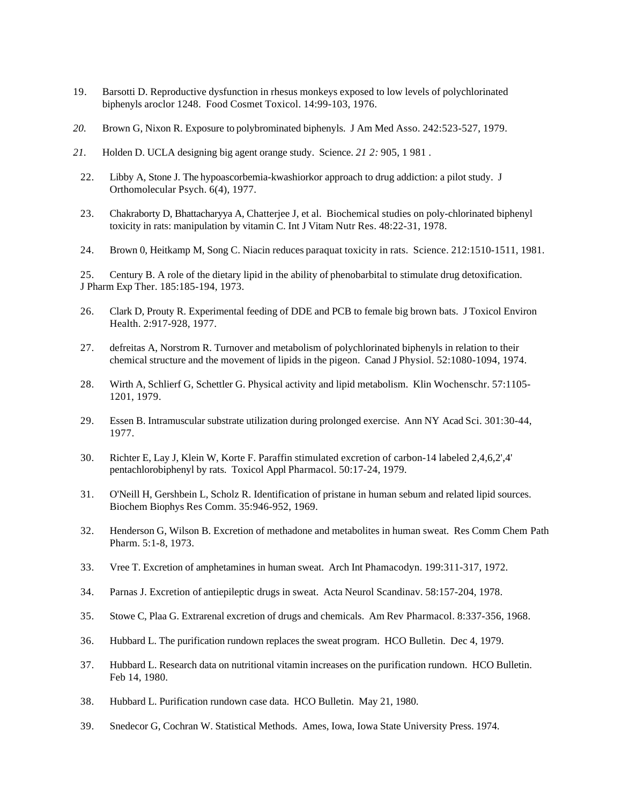- 19. Barsotti D. Reproductive dysfunction in rhesus monkeys exposed to low levels of polychlorinated biphenyls aroclor 1248. Food Cosmet Toxicol. 14:99-103, 1976.
- *20.* Brown G, Nixon R. Exposure to polybrominated biphenyls. J Am Med Asso. 242:523-527, 1979.
- *21.* Holden D. UCLA designing big agent orange study. Science. *21 2:* 905, 1 981 .
- 22. Libby A, Stone J. The hypoascorbemia-kwashiorkor approach to drug addiction: a pilot study. J Orthomolecular Psych. 6(4), 1977.
- 23. Chakraborty D, Bhattacharyya A, Chatterjee J, et al. Biochemical studies on poly-chlorinated biphenyl toxicity in rats: manipulation by vitamin C. Int J Vitam Nutr Res. 48:22-31, 1978.
- 24. Brown 0, Heitkamp M, Song C. Niacin reduces paraquat toxicity in rats. Science. 212:1510-1511, 1981.

25. Century B. A role of the dietary lipid in the ability of phenobarbital to stimulate drug detoxification. J Pharm Exp Ther. 185:185-194, 1973.

- 26. Clark D, Prouty R. Experimental feeding of DDE and PCB to female big brown bats. J Toxicol Environ Health. 2:917-928, 1977.
- 27. defreitas A, Norstrom R. Turnover and metabolism of polychlorinated biphenyls in relation to their chemical structure and the movement of lipids in the pigeon. Canad J Physiol. 52:1080-1094, 1974.
- 28. Wirth A, Schlierf G, Schettler G. Physical activity and lipid metabolism. Klin Wochenschr. 57:1105- 1201, 1979.
- 29. Essen B. Intramuscular substrate utilization during prolonged exercise. Ann NY Acad Sci. 301:30-44, 1977.
- 30. Richter E, Lay J, Klein W, Korte F. Paraffin stimulated excretion of carbon-14 labeled 2,4,6,2',4' pentachlorobiphenyl by rats. Toxicol Appl Pharmacol. 50:17-24, 1979.
- 31. O'Neill H, Gershbein L, Scholz R. Identification of pristane in human sebum and related lipid sources. Biochem Biophys Res Comm. 35:946-952, 1969.
- 32. Henderson G, Wilson B. Excretion of methadone and metabolites in human sweat. Res Comm Chem Path Pharm. 5:1-8, 1973.
- 33. Vree T. Excretion of amphetamines in human sweat. Arch Int Phamacodyn. 199:311-317, 1972.
- 34. Parnas J. Excretion of antiepileptic drugs in sweat. Acta Neurol Scandinav. 58:157-204, 1978.
- 35. Stowe C, Plaa G. Extrarenal excretion of drugs and chemicals. Am Rev Pharmacol. 8:337-356, 1968.
- 36. Hubbard L. The purification rundown replaces the sweat program. HCO Bulletin. Dec 4, 1979.
- 37. Hubbard L. Research data on nutritional vitamin increases on the purification rundown. HCO Bulletin. Feb 14, 1980.
- 38. Hubbard L. Purification rundown case data. HCO Bulletin. May 21, 1980.
- 39. Snedecor G, Cochran W. Statistical Methods. Ames, Iowa, Iowa State University Press. 1974.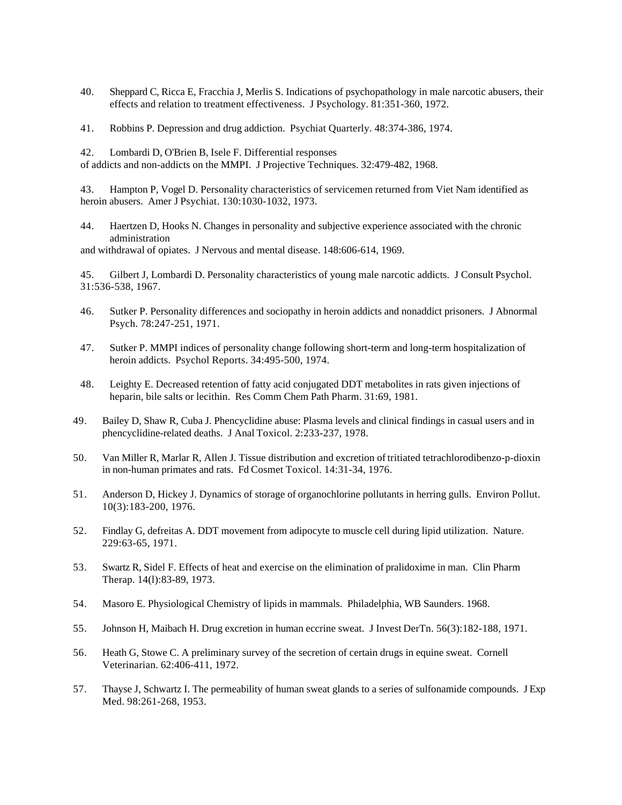- 40. Sheppard C, Ricca E, Fracchia J, Merlis S. Indications of psychopathology in male narcotic abusers, their effects and relation to treatment effectiveness. J Psychology. 81:351-360, 1972.
- 41. Robbins P. Depression and drug addiction. Psychiat Quarterly. 48:374-386, 1974.

42. Lombardi D, O'Brien B, Isele F. Differential responses of addicts and non-addicts on the MMPI. J Projective Techniques. 32:479-482, 1968.

43. Hampton P, Vogel D. Personality characteristics of servicemen returned from Viet Nam identified as heroin abusers. Amer J Psychiat. 130:1030-1032, 1973.

44. Haertzen D, Hooks N. Changes in personality and subjective experience associated with the chronic administration

and withdrawal of opiates. J Nervous and mental disease. 148:606-614, 1969.

45. Gilbert J, Lombardi D. Personality characteristics of young male narcotic addicts. J Consult Psychol. 31:536-538, 1967.

- 46. Sutker P. Personality differences and sociopathy in heroin addicts and nonaddict prisoners. J Abnormal Psych. 78:247-251, 1971.
- 47. Sutker P. MMPI indices of personality change following short-term and long-term hospitalization of heroin addicts. Psychol Reports. 34:495-500, 1974.
- 48. Leighty E. Decreased retention of fatty acid conjugated DDT metabolites in rats given injections of heparin, bile salts or lecithin. Res Comm Chem Path Pharm. 31:69, 1981.
- 49. Bailey D, Shaw R, Cuba J. Phencyclidine abuse: Plasma levels and clinical findings in casual users and in phencyclidine-related deaths. J Anal Toxicol. 2:233-237, 1978.
- 50. Van Miller R, Marlar R, Allen J. Tissue distribution and excretion of tritiated tetrachlorodibenzo-p-dioxin in non-human primates and rats. Fd Cosmet Toxicol. 14:31-34, 1976.
- 51. Anderson D, Hickey J. Dynamics of storage of organochlorine pollutants in herring gulls. Environ Pollut. 10(3):183-200, 1976.
- 52. Findlay G, defreitas A. DDT movement from adipocyte to muscle cell during lipid utilization. Nature. 229:63-65, 1971.
- 53. Swartz R, Sidel F. Effects of heat and exercise on the elimination of pralidoxime in man. Clin Pharm Therap. 14(l):83-89, 1973.
- 54. Masoro E. Physiological Chemistry of lipids in mammals. Philadelphia, WB Saunders. 1968.
- 55. Johnson H, Maibach H. Drug excretion in human eccrine sweat. J Invest DerTn. 56(3):182-188, 1971.
- 56. Heath G, Stowe C. A preliminary survey of the secretion of certain drugs in equine sweat. Cornell Veterinarian. 62:406-411, 1972.
- 57. Thayse J, Schwartz I. The permeability of human sweat glands to a series of sulfonamide compounds. J Exp Med. 98:261-268, 1953.